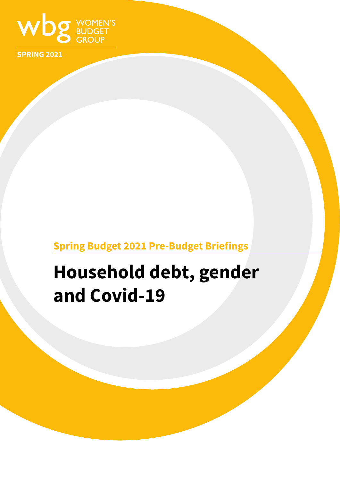

**SPRING 2021**

## **Spring Budget 2021 Pre-Budget Briefings**

# **Household debt, gender and Covid-19**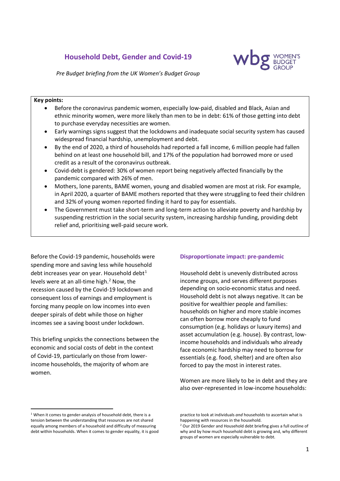### **Household Debt, Gender and Covid-19**



*Pre Budget briefing from the UK Women's Budget Group*

#### **Key points:**

- Before the coronavirus pandemic women, especially low-paid, disabled and Black, Asian and ethnic minority women, were more likely than men to be in debt: 61% of those getting into debt to purchase everyday necessities are women.
- Early warnings signs suggest that the lockdowns and inadequate social security system has caused widespread financial hardship, unemployment and debt.
- By the end of 2020, a third of households had reported a fall income, 6 million people had fallen behind on at least one household bill, and 17% of the population had borrowed more or used credit as a result of the coronavirus outbreak.
- Covid-debt is gendered: 30% of women report being negatively affected financially by the pandemic compared with 26% of men.
- Mothers, lone parents, BAME women, young and disabled women are most at risk. For example, in April 2020, a quarter of BAME mothers reported that they were struggling to feed their children and 32% of young women reported finding it hard to pay for essentials.
- The Government must take short-term and long-term action to alleviate poverty and hardship by suspending restriction in the social security system, increasing hardship funding, providing debt relief and, prioritising well-paid secure work.

Before the Covid-19 pandemic, households were spending more and saving less while household debt increases year on year. Household debt $1$ levels were at an all-time high. [2](#page-1-1) Now, the recession caused by the Covid-19 lockdown and consequent loss of earnings and employment is forcing many people on low incomes into even deeper spirals of debt while those on higher incomes see a saving boost under lockdown.

This briefing unpicks the connections between the economic and social costs of debt in the context of Covid-19, particularly on those from lowerincome households, the majority of whom are women.

#### **Disproportionate impact: pre-pandemic**

Household debt is unevenly distributed across income groups, and serves different purposes depending on socio-economic status and need. Household debt is not always negative. It can be positive for wealthier people and families: households on higher and more stable incomes can often borrow more cheaply to fund consumption (e.g. holidays or luxury items) and asset accumulation (e.g. house). By contrast, lowincome households and individuals who already face economic hardship may need to borrow for essentials (e.g. food, shelter) and are often also forced to pay the most in interest rates.

Women are more likely to be in debt and they are also over-represented in low-income households:

<span id="page-1-1"></span><span id="page-1-0"></span><sup>&</sup>lt;sup>1</sup> When it comes to gender-analysis of household debt, there is a tension between the understanding that resources are not shared equally among members of a household and difficulty of measuring debt within households. When it comes to gender equality, it is good

practice to look at individuals *and* households to ascertain what is happening with resources in the household.

<sup>&</sup>lt;sup>2</sup> Our 2019 Gender and Household debt briefing gives a full outline of why and by how much household debt is growing and, why different groups of women are especially vulnerable to debt.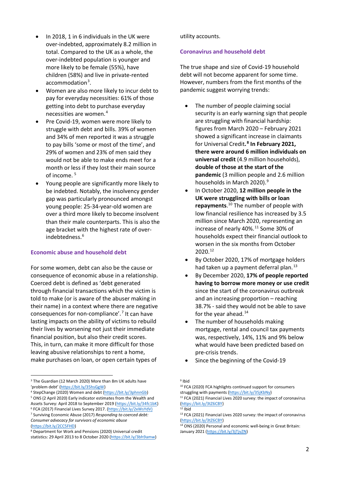- In 2018, 1 in 6 individuals in the UK were over-indebted, approximately 8.2 million in total. Compared to the UK as a whole, the over-indebted population is younger and more likely to be female (55%), have children (58%) and live in private-rented accommodation<sup>[3](#page-2-0)</sup>.
- Women are also more likely to incur debt to pay for everyday necessities: 61% of those getting into debt to purchase everyday necessities are women.[4](#page-2-1)
- Pre Covid-19, women were more likely to struggle with debt and bills. 39% of women and 34% of men reported it was a struggle to pay bills 'some or most of the time', and 29% of women and 23% of men said they would not be able to make ends meet for a month or less if they lost their main source of income. [5](#page-2-2)
- Young people are significantly more likely to be indebted. Notably, the insolvency gender gap was particularly pronounced amongst young people: 25-34-year-old women are over a third more likely to become insolvent than their male counterparts. This is also the age bracket with the highest rate of overindebtedness. [6](#page-2-3)

#### **Economic abuse and household debt**

For some women, debt can also be the cause or consequence of economic abuse in a relationship. Coerced debt is defined as 'debt generated through financial transactions which the victim is told to make (or is aware of the abuser making in their name) in a context where there are negative consequences for non-compliance'.[7](#page-2-4) It can have lasting impacts on the ability of victims to rebuild their lives by worsening not just their immediate financial position, but also their credit scores. This, in turn, can make it more difficult for those leaving abusive relationships to rent a home, make purchases on loan, or open certain types of

<span id="page-2-1"></span><sup>4</sup> StepChange (2020) Women and debt [\(https://bit.ly/3phnnGb\)](https://bit.ly/3phnnGb) 5 ONS (2 April 2020) Early indicator estimates from the Wealth and

utility accounts.

#### **Coronavirus and household debt**

The true shape and size of Covid-19 household debt will not become apparent for some time. However, numbers from the first months of the pandemic suggest worrying trends:

- The number of people claiming social security is an early warning sign that people are struggling with financial hardship: figures from March 2020 – February 2021 showed a significant increase in claimants for Universal Credit**. [8](#page-2-5) In February 2021, there were around 6 million individuals on universal credit** (4.9 million households), **double of those at the start of the pandemic** (3 million people and 2.6 million households in March 2020). [9](#page-2-0)
- In October 2020, **12 million people in the UK were struggling with bills or loan repayments**. [10](#page-2-6) The number of people with low financial resilience has increased by 3.5 million since March 2020, representing an increase of nearly 40%. [11](#page-2-2) Some 30% of households expect their financial outlook to worsen in the six months from October 2020. [12](#page-2-3)
- By October 2020, 17% of mortgage holders had taken up a payment deferral plan.<sup>[13](#page-2-4)</sup>
- By December 2020, **17% of people reported having to borrow more money or use credit** since the start of the coronavirus outbreak and an increasing proportion – reaching 38.7% - said they would not be able to save for the year ahead.<sup>[14](#page-2-7)</sup>
- The number of households making mortgage, rental and council tax payments was, respectively, 14%, 11% and 9% below what would have been predicted based on pre-crisis trends.
- Since the beginning of the Covid-19

<span id="page-2-6"></span><span id="page-2-0"></span><sup>&</sup>lt;sup>3</sup> The Guardian (12 March 2020) More than 8m UK adults have 'problem debt' (https://bit.ly/35hsGgW)

<span id="page-2-2"></span>Assets Survey: April 2018 to September 2019 [\(https://bit.ly/34fc1bK\)](https://bit.ly/34fc1bK)<br><sup>6</sup> FCA (2017) Financial Lives Survey 2017. [\(https://bit.ly/2xWsYdV\)](https://bit.ly/2xWsYdV)

<span id="page-2-4"></span><span id="page-2-3"></span><sup>7</sup> Surviving Economic Abuse (2017) *Responding to coerced debt: Consumer advocacy for survivors of economic abuse* 

<span id="page-2-7"></span>[<sup>\(</sup>https://bit.ly/2CC5FHD\)](https://bit.ly/2CC5FHD)

<span id="page-2-5"></span><sup>8</sup> Department for Work and Pensions (2020) Universal credit statistics: 29 April 2013 to 8 October 2020 [\(https://bit.ly/3bh9amw\)](https://bit.ly/3bh9amw)

<sup>9</sup> Ibid

<sup>10</sup> FCA (2020) FCA highlights continued support for consumers struggling with payments (https://bit.ly/35jKbNy)<br><sup>11</sup> FCA (2021) Financial Lives 2020 survey: the impact of coronavirus

<sup>(</sup>https://bit.ly/3tZ6CBY)<br><sup>12</sup> Ibid<br><sup>13</sup> FCA (2021) Financial Lives 2020 survey: the impact of coronavirus

<sup>(</sup>https://bit.ly/3tZ6CBY)<br><sup>14</sup> ONS (2020) Personal and economic well-being in Great Britain: January 2021 [\(https://bit.ly/3jTjvZN\)](https://bit.ly/3jTjvZN)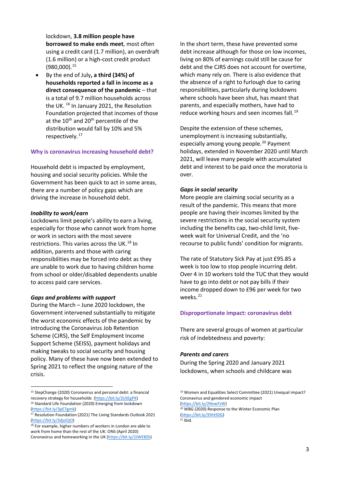lockdown, **3.8 million people have borrowed to make ends meet**, most often using a credit card (1.7 million), an overdraft (1.6 million) or a high-cost credit product  $(980,000).$ <sup>[15](#page-3-0)</sup>

• By the end of July**, a third (34%) of households reported a fall in income as a direct consequence of the pandemic** – that is a total of 9.7 million households across the UK.<sup>[16](#page-3-1)</sup> In January 2021, the Resolution Foundation projected that incomes of those at the 10<sup>th</sup> and 20<sup>th</sup> percentile of the distribution would fall by 10% and 5% respectively. [17](#page-3-2)

#### **Why is coronavirus increasing household debt?**

Household debt is impacted by employment, housing and social security policies. While the Government has been quick to act in some areas, there are a number of policy gaps which are driving the increase in household debt.

#### *Inability to work***/***earn*

Lockdowns limit people's ability to earn a living, especially for those who cannot work from home or work in sectors with the most severe restrictions. This varies across the UK.<sup>[18](#page-3-3)</sup> In addition, parents and those with caring responsibilities may be forced into debt as they are unable to work due to having children home from school or older/disabled dependents unable to access paid care services.

#### *Gaps and problems with support*

During the March – June 2020 lockdown, the Government intervened substantially to mitigate the worst economic effects of the pandemic by introducing the Coronavirus Job Retention Scheme (CJRS), the Self Employment Income Support Scheme (SEISS), payment holidays and making tweaks to social security and housing policy. Many of these have now been extended to Spring 2021 to reflect the ongoing nature of the crisis.

In the short term, these have prevented some debt increase although for those on low incomes, living on 80% of earnings could still be cause for debt and the CJRS does not account for overtime, which many rely on. There is also evidence that the absence of a right to furlough due to caring responsibilities, particularly during lockdowns where schools have been shut, has meant that parents, and especially mothers, have had to reduce working hours and seen incomes fall.<sup>[19](#page-3-0)</sup>

Despite the extension of these schemes, unemployment is increasing substantially, especially among young people.<sup>[20](#page-3-4)</sup> Payment holidays, extended in November 2020 until March 2021, will leave many people with accumulated debt and interest to be paid once the moratoria is over.

#### *Gaps in social security*

More people are claiming social security as a result of the pandemic. This means that more people are having their incomes limited by the severe restrictions in the social security system including the benefits cap, two-child limit, fiveweek wait for Universal Credit, and the 'no recourse to public funds' condition for migrants.

The rate of Statutory Sick Pay at just £95.85 a week is too low to stop people incurring debt. Over 4 in 10 workers told the TUC that they would have to go into debt or not pay bills if their income dropped down to £96 per week for two weeks.<sup>[21](#page-3-5)</sup>

#### **Disproportionate impact: coronavirus debt**

There are several groups of women at particular risk of indebtedness and poverty:

#### *Parents and carers*

During the Spring 2020 and January 2021 lockdowns, when schools and childcare was

<sup>19</sup> Women and Equalities Select Committee (2021) Unequal impact? Coronavirus and gendered economic impact

[\(https://bit.ly/2NvwFzW\)](https://bit.ly/2NvwFzW)<br><sup>20</sup> WBG (2020) Response to the Winter Economic Plan [\(https://bit.ly/35ht92G\)](https://bit.ly/35ht92G) 21 Ibid.

<span id="page-3-0"></span><sup>15</sup> StepChange (2020) Coronavirus and personal debt: a financial recovery strategy for households [\(https://bit.ly/2UtEgPX\)](https://bit.ly/2UtEgPX) <sup>16</sup> Standard Life Foundation (2020) Emerging from lockdown

<span id="page-3-4"></span><span id="page-3-1"></span>[<sup>\(</sup>https://bit.ly/3pE7gmk\)](https://bit.ly/3pE7gmk)<br><sup>17</sup> Resolution Foundation (2021) The Living Standards Outlook 2021

<span id="page-3-5"></span><span id="page-3-2"></span>[<sup>\(</sup>https://bit.ly/3djoOjO\)](https://bit.ly/3djoOjO)<br><sup>18</sup> For example, higher numbers of workers in London are able to

<span id="page-3-3"></span>work from home than the rest of the UK: ONS (April 2020) Coronavirus and homeworking in the UK [\(https://bit.ly/2JWEBZk\)](https://bit.ly/2JWEBZk)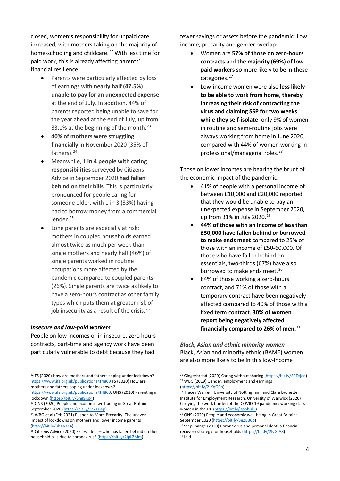closed, women's responsibility for unpaid care increased, with mothers taking on the majority of home-schooling and childcare. [22](#page-4-0) With less time for paid work, this is already affecting parents' financial resilience:

- Parents were particularly affected by loss of earnings with **nearly half (47.5%) unable to pay for an unexpected expense** at the end of July. In addition, 44% of parents reported being unable to save for the year ahead at the end of July, up from 33.1% at the beginning of the month.<sup>[23](#page-4-1)</sup>
- **40% of mothers were struggling financially** in November 2020 (35% of fathers).<sup>[24](#page-4-2)</sup>
- Meanwhile, **1 in 4 people with caring responsibilities** surveyed by Citizens Advice in September 2020 **had fallen behind on their bills**. This is particularly pronounced for people caring for someone older, with 1 in 3 (33%) having had to borrow money from a commercial lender.<sup>[25](#page-4-3)</sup>
- Lone parents are especially at risk: mothers in coupled households earned almost twice as much per week than single mothers and nearly half (46%) of single parents worked in routine occupations more affected by the pandemic compared to coupled parents (26%). Single parents are twice as likely to have a zero-hours contract as other family types which puts them at greater risk of job insecurity as a result of the crisis.<sup>[26](#page-4-0)</sup>

#### *Insecure and low-paid workers*

People on low incomes or in insecure, zero hours contracts, part-time and agency work have been particularly vulnerable to debt because they had

fewer savings or assets before the pandemic. Low income, precarity and gender overlap:

- Women are **57% of those on zero-hours contracts** and **the majority (69%) of low paid workers** so more likely to be in these categories.<sup>[27](#page-4-4)</sup>
- Low-income women were also **less likely to be able to work from home, thereby increasing their risk of contracting the virus and claiming SSP for two weeks while they self-isolate**: only 9% of women in routine and semi-routine jobs were always working from home in June 2020, compared with 44% of women working in professional/managerial roles. [28](#page-4-5)

Those on lower incomes are bearing the brunt of the economic impact of the pandemic:

- 41% of people with a personal income of between £10,000 and £20,000 reported that they would be unable to pay an unexpected expense in September 2020, up from 31% in July 2020. [29](#page-4-2)
- **44% of those with an income of less than £30,000 have fallen behind or borrowed to make ends meet** compared to 25% of those with an income of £50-60,000. Of those who have fallen behind on essentials, two-thirds (67%) have also borrowed to make ends meet.<sup>[30](#page-4-6)</sup>
- 84% of those working a zero-hours contract, and 71% of those with a temporary contract have been negatively affected compared to 40% of those with a fixed term contract. **30% of women report being negatively affected financially compared to 26% of men.** [31](#page-4-7)

#### *Black, Asian and ethnic minority women* Black, Asian and minority ethnic (BAME) women are also more likely to be in this low-income

<span id="page-4-4"></span><span id="page-4-0"></span><sup>&</sup>lt;sup>22</sup> FS (2020) How are mothers and fathers coping under lockdown? <https://www.ifs.org.uk/publications/14860> FS (2020) How are mothers and fathers coping under lockdown?

<span id="page-4-5"></span>[https://www.ifs.org.uk/publications/14860;](https://www.ifs.org.uk/publications/14860) ONS (2020) Parenting in lockdown [\(https://bit.ly/3ng9Kp4\)](https://bit.ly/3ng9Kp4)

<span id="page-4-1"></span><sup>&</sup>lt;sup>23</sup> ONS (2020) People and economic well-being in Great Britain:<br>September 2020 ( $\frac{https://bit.ly/3eZEB6p)}{https://bit.ly/3eZEB6p)}$ 

<span id="page-4-2"></span><sup>&</sup>lt;sup>24</sup> WBG et al (Feb 2021) Pushed to More Precarity: The uneven impact of lockdowns on mothers and lower income parents

<span id="page-4-7"></span><span id="page-4-6"></span><span id="page-4-3"></span><sup>(</sup>http://bit.ly/3bAVzX4)<br><sup>25</sup> Citizens Advice (2020) Excess debt – who has fallen behind on their household bills due to coronavirus? [\(https://bit.ly/2IpLZMm\)](https://bit.ly/2IpLZMm)

<sup>&</sup>lt;sup>26</sup> Gingerbread (2020) Caring without sharing [\(https://bit.ly/32Fvjaq\)](https://bit.ly/32Fvjaq) <sup>27</sup> WBG (2019) Gender, employment and earnings (https://bit.ly/2JXqGCh)

<sup>&</sup>lt;sup>28</sup> Tracey Warren, University of Nottingham, and Clare Lyonette, Institute for Employment Research, University of Warwick (2020) Carrying the work burden of the COVID-19 pandemic: working class women in the UK [\(https://bit.ly/3phh8lG\)](https://bit.ly/3phh8lG)<br><sup>29</sup> ONS (2020) People and economic well-being in Great Britain:

September 2020 [\(https://bit.ly/3eZEB6p\)](https://bit.ly/3eZEB6p)

<sup>30</sup> StepChange (2020) Coronavirus and personal debt: a financial recovery strategy for households [\(https://bit.ly/2IvGfA8\)](https://bit.ly/2IvGfA8) <sup>31</sup> Ibid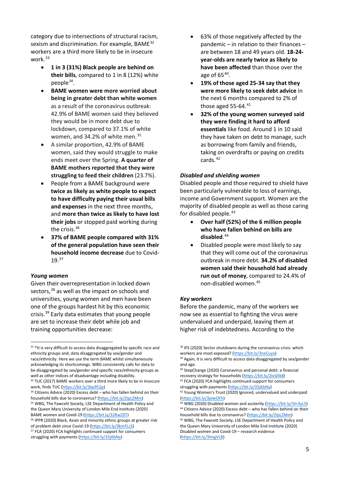category due to intersections of structural racism, sexism and discrimination. For example, BAME<sup>[32](#page-5-0)</sup> workers are a third more likely to be in insecure work.[33](#page-5-1)

- **1 in 3 (31%) Black people are behind on their bills**, compared to 1 in 8 (12%) white people[34](#page-5-2).
- **BAME women were more worried about being in greater debt than white women** as a result of the coronavirus outbreak: 42.9% of BAME women said they believed they would be in more debt due to lockdown, compared to 37.1% of white women, and 34.2% of white men.<sup>[35](#page-5-3)</sup>
- A similar proportion, 42.9% of BAME women, said they would struggle to make ends meet over the Spring. **A quarter of BAME mothers reported that they were struggling to feed their children** (23.7%).
- People from a BAME background were **twice as likely as white people to expect to have difficulty paying their usual bills and expenses** in the next three months, and **more than twice as likely to have lost their jobs** or stopped paid working during the crisis.<sup>[36](#page-5-4)</sup>
- **37% of BAME people compared with 31% of the general population have seen their household income decrease** due to Covid-19. [37](#page-5-5)

#### *Young women*

Given their overrepresentation in locked down sectors,<sup>[38](#page-5-0)</sup> as well as the impact on schools and universities, young women and men have been one of the groups hardest hit by this economic crisis. [39](#page-5-6) Early data estimates that young people are set to increase their debt while job and training opportunities decrease:

<span id="page-5-6"></span><span id="page-5-0"></span> $32$  \*It is very difficult to access data disaggregated by specific race and ethnicity groups and, data disaggregated by sex/gender and race/ethnicity. Here we use the term BAME whilst simultaneously acknowledging its shortcomings. WBG consistently calls for data to be disaggregated by sex/gender *and* specific race/ethnicity groups as well as other indices of disadvantage including disability.

- 63% of those negatively affected by the pandemic – in relation to their finances – are between 18 and 49 years old. **18-24 year-olds are nearly twice as likely to have been affected** than those over the age of  $65^{40}$  $65^{40}$  $65^{40}$ .
- **19% of those aged 25-34 say that they were more likely to seek debt advice** in the next 6 months compared to 2% of those aged  $55-64.<sup>41</sup>$  $55-64.<sup>41</sup>$  $55-64.<sup>41</sup>$
- **32% of the young women surveyed said they were finding it hard to afford essentials** like food. Around 1 in 10 said they have taken on debt to manage, such as borrowing from family and friends, taking on overdrafts or paying on credits cards.<sup>[42](#page-5-2)</sup>

#### *Disabled and shielding women*

Disabled people and those required to shield have been particularly vulnerable to loss of earnings, income and Government support. Women are the majority of disabled people as well as those caring for disabled people.<sup>[43](#page-5-3)</sup>

- **Over half (52%) of the 6 million people who have fallen behind on bills are disabled**. [44](#page-5-8)
- Disabled people were most likely to say that they will come out of the coronavirus outbreak in more debt. **34.2% of disabled women said their household had already run out of money**, compared to 24.4% of non-disabled women.[45](#page-5-4)

#### *Key workers*

Before the pandemic, many of the workers we now see as essential to fighting the virus were undervalued and underpaid, leaving them at higher risk of indebtedness. According to the

[\(https://bit.ly/3lmgVLB\)](https://bit.ly/3lmgVLB)

<span id="page-5-7"></span><span id="page-5-1"></span><sup>&</sup>lt;sup>33</sup> TUC (2017) BAME workers over a third more likely to be in insecure work, finds TUC ( $\frac{https://bit.ly/3kp952p}{https://bit.ly/3kp952p})$ 

<span id="page-5-2"></span><sup>34</sup> Citizens Advice (2020) Excess debt – who has fallen behind on their household bills due to coronavirus? [\(https://bit.ly/2IpLZMm\)](https://bit.ly/2IpLZMm) <sup>35</sup> WBG, The Fawcett Society, LSE Department of Health Policy and the Queen Mary University of London Mile End institute (2020)

<span id="page-5-8"></span><span id="page-5-4"></span><span id="page-5-3"></span>BAME women and Covid-19 [\(https://bit.ly/32RwZ0T\)](https://bit.ly/32RwZ0T)<br><sup>36</sup> IPPR (2020) Black, Asian and minority ethnic groups at greater risk

<span id="page-5-5"></span>of problem debt since Covid-19 (https://bit.ly/3kmFLcS)<br><sup>37</sup> FCA (2020) FCA highlights continued support for consumers

struggling with payments [\(https://bit.ly/35jKbNy\)](https://bit.ly/35jKbNy)

<sup>&</sup>lt;sup>38</sup> IFS (2020) Sector shutdowns during the coronavirus crisis: which workers are most exposed? [\(https://bit.ly/3neCuya\)](https://bit.ly/3neCuya)<br><sup>39</sup> Again, it is very difficult to access data disaggregated by sex/gender

and age.

<sup>40</sup> StepChange (2020) Coronavirus and personal debt: a financial recovery strategy for households [\(https://bit.ly/2IvGfA8\)](https://bit.ly/2IvGfA8) <sup>41</sup> FCA (2020) FCA highlights continued support for consumers

struggling with payments (https://bit.ly/35jKbNy)<br><sup>42</sup> Young Women's Trust (2020) Ignored, undervalued and underpaid

<sup>(</sup>https://bit.ly/3piwOFh)<br><sup>43</sup> WBG (2020) Disabled women and austerity [\(https://bit.ly/3ln3yL5\)](https://bit.ly/3ln3yL5)<br><sup>44</sup> Citizens Advice (2020) Excess debt – who has fallen behind on their household bills due to coronavirus? [\(https://bit.ly/2IpLZMm\)](https://bit.ly/2IpLZMm) 45 WBG, The Fawcett Society, LSE Department of Health Policy and the Queen Mary University of London Mile End institute (2020) Disabled women and Covid-19 – research evidence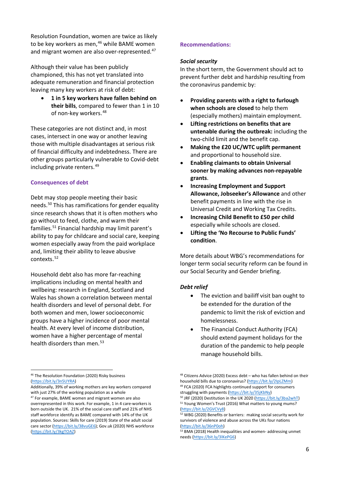Resolution Foundation, women are twice as likely to be key workers as men, [46](#page-6-0) while BAME women and migrant women are also over-represented.<sup>[47](#page-6-1)</sup>

Although their value has been publicly championed, this has not yet translated into adequate remuneration and financial protection leaving many key workers at risk of debt:

• **1 in 5 key workers have fallen behind on their bills**, compared to fewer than 1 in 10 of non-key workers. [48](#page-6-0)

These categories are not distinct and, in most cases, intersect in one way or another leaving those with multiple disadvantages at serious risk of financial difficulty and indebtedness. There are other groups particularly vulnerable to Covid-debt including private renters. [49](#page-6-2)

#### **Consequences of debt**

Debt may stop people meeting their basic needs.[50](#page-6-1) This has ramifications for gender equality since research shows that it is often mothers who go without to feed, clothe, and warm their families.[51](#page-6-3) Financial hardship may limit parent's ability to pay for childcare and social care, keeping women especially away from the paid workplace and, limiting their ability to leave abusive contexts. [52](#page-6-4)

Household debt also has more far-reaching implications including on mental health and wellbeing: research in England, Scotland and Wales has shown a correlation between mental health disorders and level of personal debt. For both women and men, lower socioeconomic groups have a higher incidence of poor mental health. At every level of income distribution, women have a higher percentage of mental health disorders than men.<sup>[53](#page-6-5)</sup>

#### **Recommendations:**

#### *Social security*

In the short term, the Government should act to prevent further debt and hardship resulting from the coronavirus pandemic by:

- **Providing parents with a right to furlough when schools are closed** to help them (especially mothers) maintain employment.
- **Lifting restrictions on benefits that are untenable during the outbreak:** including the two-child limit and the benefit cap.
- **Making the £20 UC/WTC uplift permanent** and proportional to household size.
- **Enabling claimants to obtain Universal sooner by making advances non-repayable grants**.
- **Increasing Employment and Support Allowance, Jobseeker's Allowance** and other benefit payments in line with the rise in Universal Credit and Working Tax Credits.
- **Increasing Child Benefit to £50 per child** especially while schools are closed.
- **Lifting the 'No Recourse to Public Funds' condition**.

More details about WBG's recommendations for longer term social security reform can be found in our Social Security and Gender briefing.

#### *Debt relief*

- The eviction and bailiff visit ban ought to be extended for the duration of the pandemic to limit the risk of eviction and homelessness.
- The Financial Conduct Authority (FCA) should extend payment holidays for the duration of the pandemic to help people manage household bills.

<span id="page-6-0"></span><sup>46</sup> The Resolution Foundation (2020) Risky business [\(https://bit.ly/3n5UYRA\)](https://bit.ly/3n5UYRA)

<span id="page-6-2"></span>Additionally, 39% of working mothers are key workers compared with just 27% of the working population as a whole

<span id="page-6-5"></span><span id="page-6-4"></span><span id="page-6-3"></span><span id="page-6-1"></span><sup>&</sup>lt;sup>47</sup> For example, BAME women and migrant women are also overrepresented in this work. For example, 1 in 4 care-workers is born outside the UK. 21% of the social care staff and 21% of NHS staff workforce identify as BAME compared with 14% of the UK population. Sources: Skills for care (2019) State of the adult social care sector [\(https://bit.ly/38vuGE6\);](https://bit.ly/38vuGE6) Gov.uk (2020) NHS workforce [\(https://bit.ly/3kgTOAZ\)](https://bit.ly/3kgTOAZ)

<sup>48</sup> Citizens Advice (2020) Excess debt – who has fallen behind on their household bills due to coronavirus? [\(https://bit.ly/2IpLZMm\)](https://bit.ly/2IpLZMm) 49 FCA (2020) FCA highlights continued support for consumers

struggling with payments (https://bit.ly/35jKbNy)<br><sup>50</sup> JRF (2020) Destitution in the UK 2020 [\(https://bit.ly/3ba2whT\)](https://bit.ly/3ba2whT)<br><sup>51</sup> Young Women's Trust (2016) What matters to young mums? (https://bit.ly/2GVCVy8)<br><sup>52</sup> WBG (2020) Benefits or barriers: making social security work for

survivors of violence and abuse across the UKs four nations  $(https://bit.ly/36nPOoh)$ <br><sup>53</sup> BMA (2018) Health inequalities and women- addressing unmet

needs [\(https://bit.ly/3lKePG6\)](https://bit.ly/3lKePG6)